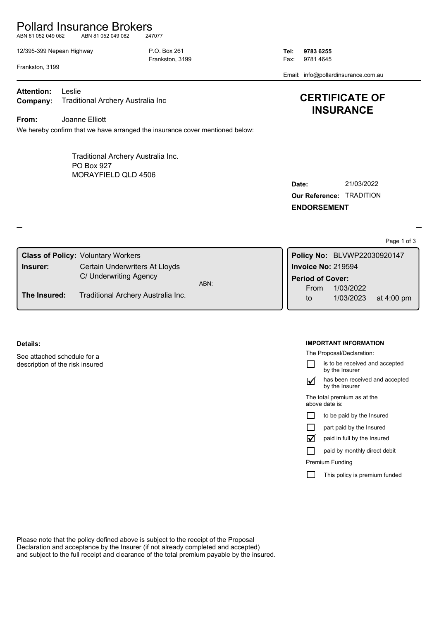# Pollard Insurance Brokers

ABN 81 052 049 082 ABN 81 052 049 082 247077

12/395-399 Nepean Highway P.O. Box 261 **Tel: 9783 6255**

Frankston, 3199 **Fax: 9781 4645** 

Email: info@pollardinsurance.com.au

Frankston, 3199

**Company:** Traditional Archery Australia Inc **Attention:** Leslie

**From:** Joanne Elliott

We hereby confirm that we have arranged the insurance cover mentioned below:

MORAYFIELD QLD 4506 Traditional Archery Australia Inc. PO Box 927

| <b>INSURANCE</b> |  |
|------------------|--|
|                  |  |
|                  |  |

**CERTIFICATE OF** 

| <b>Our Reference: TRADITION</b> |  |  |  |
|---------------------------------|--|--|--|
| <b>ENDORSEMENT</b>              |  |  |  |

Page 1 of 3

|              | <b>Class of Policy: Voluntary Workers</b> |      | Policy No: BLVWP22030920147 |                        |              |
|--------------|-------------------------------------------|------|-----------------------------|------------------------|--------------|
| Insurer:     | Certain Underwriters At Lloyds            |      | Invoice No: 219594          |                        |              |
|              | C/ Underwriting Agency                    | ABN: | <b>Period of Cover:</b>     |                        |              |
| The Insured: | Traditional Archery Australia Inc.        |      | From<br>to                  | 1/03/2022<br>1/03/2023 | at $4:00$ pm |

## **Details:**

See attached schedule for a description of the risk insured

### **IMPORTANT INFORMATION**

The Proposal/Declaration:

is to be received and accepted П by the Insurer

has been received and accepted by the Insurer  $\triangledown$ 

The total premium as at the above date is:

| to be paid by the Insured |  |  |
|---------------------------|--|--|
|---------------------------|--|--|

paid in full by the Insured  $\triangledown$ 

paid by monthly direct debit П

Premium Funding

 $\Box$ This policy is premium funded

Please note that the policy defined above is subject to the receipt of the Proposal Declaration and acceptance by the Insurer (if not already completed and accepted) and subject to the full receipt and clearance of the total premium payable by the insured.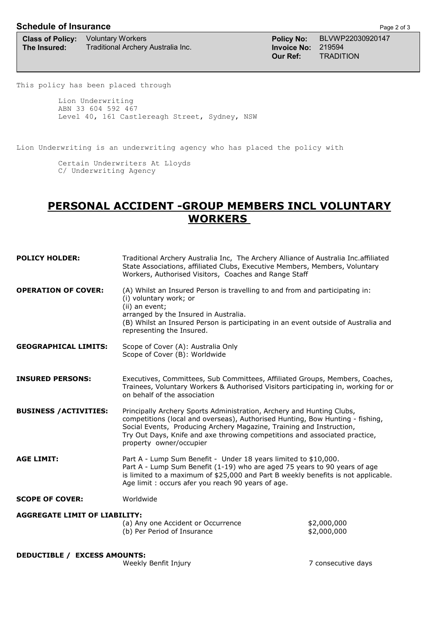## **Schedule of Insurance Page 2 of 3**

**Class of Policy:** Voluntary Workers **Policy Ross Policy No:** BLVWP22030920147 **The Insured:** Traditional Archery Australia Inc. **Invoice No:** 219594<br>**Our Ref:** TRADIT

**Our Ref:** TRADITION

This policy has been placed through

Lion Underwriting ABN 33 604 592 467 Level 40, 161 Castlereagh Street, Sydney, NSW

Lion Underwriting is an underwriting agency who has placed the policy with

Certain Underwriters At Lloyds C/ Underwriting Agency

# **PERSONAL ACCIDENT -GROUP MEMBERS INCL VOLUNTARY WORKERS**

| <b>POLICY HOLDER:</b>                | Traditional Archery Australia Inc, The Archery Alliance of Australia Inc.affiliated<br>State Associations, affiliated Clubs, Executive Members, Members, Voluntary<br>Workers, Authorised Visitors, Coaches and Range Staff                                                                                                             |                            |
|--------------------------------------|-----------------------------------------------------------------------------------------------------------------------------------------------------------------------------------------------------------------------------------------------------------------------------------------------------------------------------------------|----------------------------|
| <b>OPERATION OF COVER:</b>           | (A) Whilst an Insured Person is travelling to and from and participating in:<br>(i) voluntary work; or<br>(ii) an event;<br>arranged by the Insured in Australia.<br>(B) Whilst an Insured Person is participating in an event outside of Australia and<br>representing the Insured.                                                    |                            |
| <b>GEOGRAPHICAL LIMITS:</b>          | Scope of Cover (A): Australia Only<br>Scope of Cover (B): Worldwide                                                                                                                                                                                                                                                                     |                            |
| <b>INSURED PERSONS:</b>              | Executives, Committees, Sub Committees, Affiliated Groups, Members, Coaches,<br>Trainees, Voluntary Workers & Authorised Visitors participating in, working for or<br>on behalf of the association                                                                                                                                      |                            |
| <b>BUSINESS / ACTIVITIES:</b>        | Principally Archery Sports Administration, Archery and Hunting Clubs,<br>competitions (local and overseas), Authorised Hunting, Bow Hunting - fishing,<br>Social Events, Producing Archery Magazine, Training and Instruction,<br>Try Out Days, Knife and axe throwing competitions and associated practice,<br>property owner/occupier |                            |
| <b>AGE LIMIT:</b>                    | Part A - Lump Sum Benefit - Under 18 years limited to \$10,000.<br>Part A - Lump Sum Benefit (1-19) who are aged 75 years to 90 years of age<br>is limited to a maximum of \$25,000 and Part B weekly benefits is not applicable.<br>Age limit: occurs afer you reach 90 years of age.                                                  |                            |
| <b>SCOPE OF COVER:</b>               | Worldwide                                                                                                                                                                                                                                                                                                                               |                            |
| <b>AGGREGATE LIMIT OF LIABILITY:</b> |                                                                                                                                                                                                                                                                                                                                         |                            |
|                                      | (a) Any one Accident or Occurrence<br>(b) Per Period of Insurance                                                                                                                                                                                                                                                                       | \$2,000,000<br>\$2,000,000 |
| <b>DEDUCTIBLE / EXCESS AMOUNTS:</b>  |                                                                                                                                                                                                                                                                                                                                         |                            |
|                                      | Weekly Benfit Injury                                                                                                                                                                                                                                                                                                                    | 7 consecutive days         |